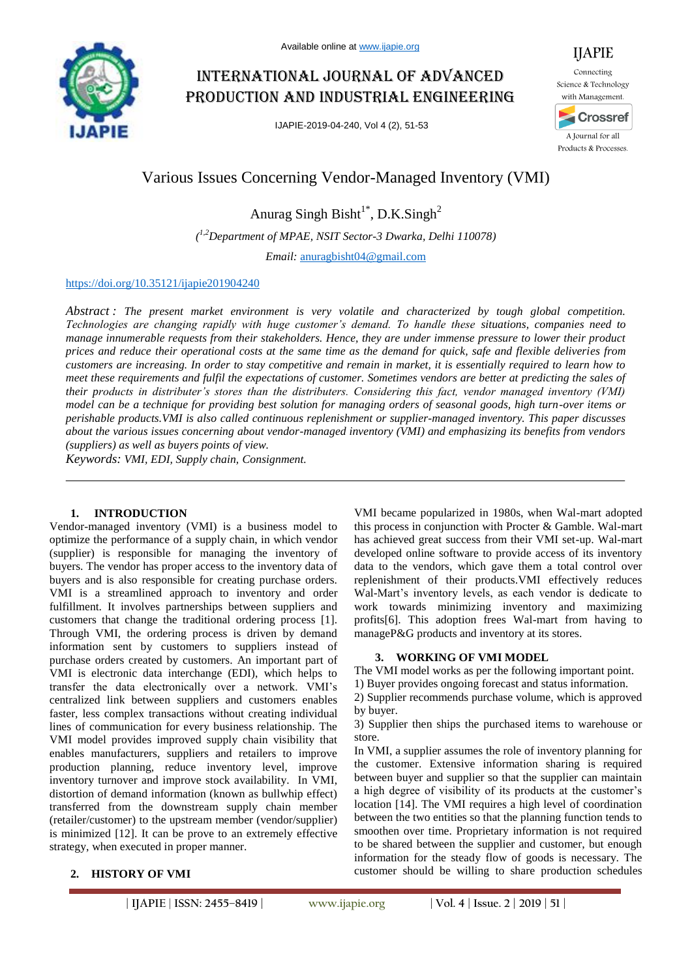

# International journal of advanced production and industrial engineering

IJAPIE-2019-04-240, Vol 4 (2), 51-53



## Various Issues Concerning Vendor-Managed Inventory (VMI)

Anurag Singh Bisht<sup>1\*</sup>, D.K.Singh<sup>2</sup>

*( 1,2Department of MPAE, NSIT Sector-3 Dwarka, Delhi 110078)*

*Email:* anuragbisht04@gmail.com

#### https://doi.org/10.35121/ijapie201904240

*Abstract : The present market environment is very volatile and characterized by tough global competition. Technologies are changing rapidly with huge customer's demand. To handle these situations, companies need to manage innumerable requests from their stakeholders. Hence, they are under immense pressure to lower their product prices and reduce their operational costs at the same time as the demand for quick, safe and flexible deliveries from customers are increasing. In order to stay competitive and remain in market, it is essentially required to learn how to meet these requirements and fulfil the expectations of customer. Sometimes vendors are better at predicting the sales of their products in distributer's stores than the distributers. Considering this fact, vendor managed inventory (VMI) model can be a technique for providing best solution for managing orders of seasonal goods, high turn-over items or perishable products.VMI is also called continuous replenishment or supplier-managed inventory. This paper discusses about the various issues concerning about vendor-managed inventory (VMI) and emphasizing its benefits from vendors (suppliers) as well as buyers points of view.* 

*Keywords: VMI, EDI, Supply chain, Consignment.*

#### **1. INTRODUCTION**

Vendor-managed inventory (VMI) is a business model to optimize the performance of a supply chain, in which vendor (supplier) is responsible for managing the inventory of buyers. The vendor has proper access to the inventory data of buyers and is also responsible for creating purchase orders. VMI is a streamlined approach to inventory and order fulfillment. It involves partnerships between suppliers and customers that change the traditional ordering process [1]. Through VMI, the ordering process is driven by demand information sent by customers to suppliers instead of purchase orders created by customers. An important part of VMI is electronic data interchange (EDI), which helps to transfer the data electronically over a network. VMI's centralized link between suppliers and customers enables faster, less complex transactions without creating individual lines of communication for every business relationship. The VMI model provides improved supply chain visibility that enables manufacturers, suppliers and retailers to improve production planning, reduce inventory level, improve inventory turnover and improve stock availability. In VMI, distortion of demand information (known as bullwhip effect) transferred from the downstream supply chain member (retailer/customer) to the upstream member (vendor/supplier) is minimized [12]. It can be prove to an extremely effective strategy, when executed in proper manner.

VMI became popularized in 1980s, when Wal-mart adopted this process in conjunction with Procter & Gamble. Wal-mart has achieved great success from their VMI set-up. Wal-mart developed online software to provide access of its inventory data to the vendors, which gave them a total control over replenishment of their products.VMI effectively reduces Wal-Mart's inventory levels, as each vendor is dedicate to work towards minimizing inventory and maximizing profits[6]. This adoption frees Wal-mart from having to manageP&G products and inventory at its stores.

#### **3. WORKING OF VMI MODEL**

The VMI model works as per the following important point.

1) Buyer provides ongoing forecast and status information.

2) Supplier recommends purchase volume, which is approved by buyer.

3) Supplier then ships the purchased items to warehouse or store.

In VMI, a supplier assumes the role of inventory planning for the customer. Extensive information sharing is required between buyer and supplier so that the supplier can maintain a high degree of visibility of its products at the customer's location [14]. The VMI requires a high level of coordination between the two entities so that the planning function tends to smoothen over time. Proprietary information is not required to be shared between the supplier and customer, but enough information for the steady flow of goods is necessary. The customer should be willing to share production schedules

#### **2. HISTORY OF VMI**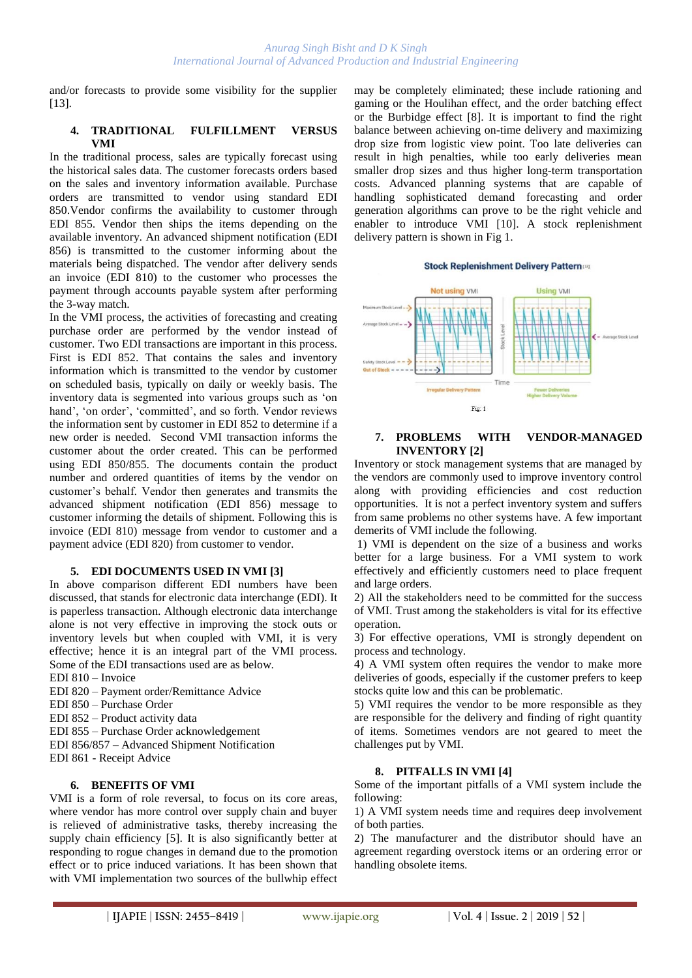and/or forecasts to provide some visibility for the supplier [13].

#### **4. TRADITIONAL FULFILLMENT VERSUS VMI**

In the traditional process, sales are typically forecast using the historical sales data. The customer forecasts orders based on the sales and inventory information available. Purchase orders are transmitted to vendor using standard EDI 850.Vendor confirms the availability to customer through EDI 855. Vendor then ships the items depending on the available inventory. An advanced shipment notification (EDI 856) is transmitted to the customer informing about the materials being dispatched. The vendor after delivery sends an invoice (EDI 810) to the customer who processes the payment through accounts payable system after performing the 3-way match.

In the VMI process, the activities of forecasting and creating purchase order are performed by the vendor instead of customer. Two EDI transactions are important in this process. First is EDI 852. That contains the sales and inventory information which is transmitted to the vendor by customer on scheduled basis, typically on daily or weekly basis. The inventory data is segmented into various groups such as 'on hand', 'on order', 'committed', and so forth. Vendor reviews the information sent by customer in EDI 852 to determine if a new order is needed. Second VMI transaction informs the customer about the order created. This can be performed using EDI 850/855. The documents contain the product number and ordered quantities of items by the vendor on customer's behalf. Vendor then generates and transmits the advanced shipment notification (EDI 856) message to customer informing the details of shipment. Following this is invoice (EDI 810) message from vendor to customer and a payment advice (EDI 820) from customer to vendor.

### **5. EDI DOCUMENTS USED IN VMI [3]**

In above comparison different EDI numbers have been discussed, that stands for electronic data interchange (EDI). It is paperless transaction. Although electronic data interchange alone is not very effective in improving the stock outs or inventory levels but when coupled with VMI, it is very effective; hence it is an integral part of the VMI process. Some of the EDI transactions used are as below.

- EDI 810 Invoice
- EDI 820 Payment order/Remittance Advice
- EDI 850 Purchase Order
- EDI 852 Product activity data
- EDI 855 Purchase Order acknowledgement
- EDI 856/857 Advanced Shipment Notification
- EDI 861 Receipt Advice

#### **6. BENEFITS OF VMI**

VMI is a form of role reversal, to focus on its core areas, where vendor has more control over supply chain and buyer is relieved of administrative tasks, thereby increasing the supply chain efficiency [5]. It is also significantly better at responding to rogue changes in demand due to the promotion effect or to price induced variations. It has been shown that with VMI implementation two sources of the bullwhip effect

may be completely eliminated; these include rationing and gaming or the Houlihan effect, and the order batching effect or the Burbidge effect [8]. It is important to find the right balance between achieving on-time delivery and maximizing drop size from logistic view point. Too late deliveries can result in high penalties, while too early deliveries mean smaller drop sizes and thus higher long-term transportation costs. Advanced planning systems that are capable of handling sophisticated demand forecasting and order generation algorithms can prove to be the right vehicle and enabler to introduce VMI [10]. A stock replenishment delivery pattern is shown in Fig 1.

#### **Stock Replenishment Delivery Pattern**



#### **7. PROBLEMS WITH VENDOR-MANAGED INVENTORY [2]**

Inventory or stock management systems that are managed by the vendors are commonly used to improve inventory control along with providing efficiencies and cost reduction opportunities. It is not a perfect inventory system and suffers from same problems no other systems have. A few important demerits of VMI include the following.

1) VMI is dependent on the size of a business and works better for a large business. For a VMI system to work effectively and efficiently customers need to place frequent and large orders.

2) All the stakeholders need to be committed for the success of VMI. Trust among the stakeholders is vital for its effective operation.

3) For effective operations, VMI is strongly dependent on process and technology.

4) A VMI system often requires the vendor to make more deliveries of goods, especially if the customer prefers to keep stocks quite low and this can be problematic.

5) VMI requires the vendor to be more responsible as they are responsible for the delivery and finding of right quantity of items. Sometimes vendors are not geared to meet the challenges put by VMI.

#### **8. PITFALLS IN VMI [4]**

Some of the important pitfalls of a VMI system include the following:

1) A VMI system needs time and requires deep involvement of both parties.

2) The manufacturer and the distributor should have an agreement regarding overstock items or an ordering error or handling obsolete items.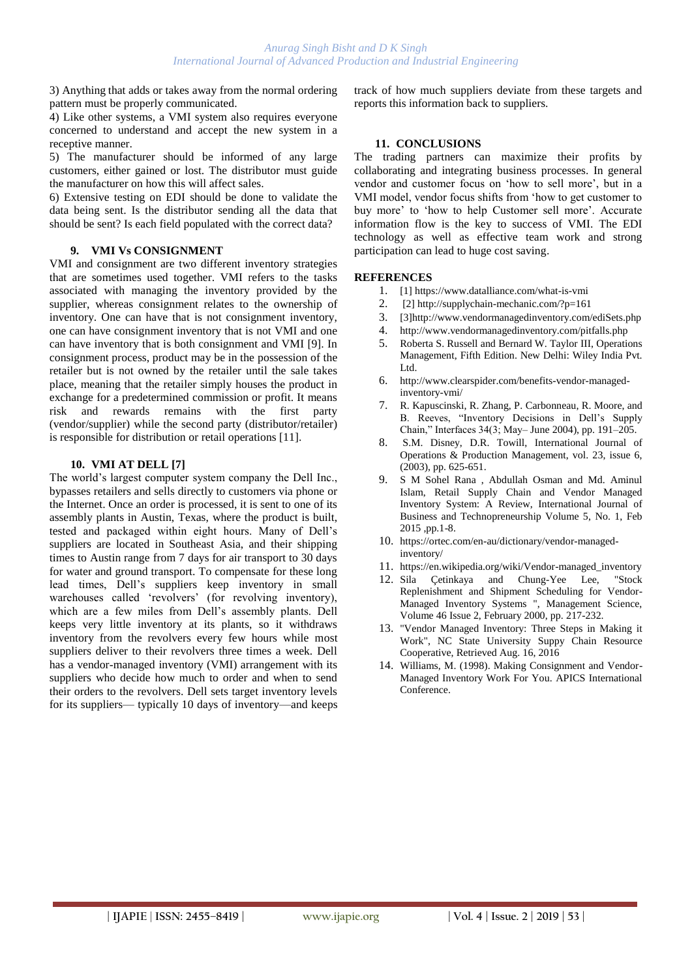3) Anything that adds or takes away from the normal ordering pattern must be properly communicated.

4) Like other systems, a VMI system also requires everyone concerned to understand and accept the new system in a receptive manner.

5) The manufacturer should be informed of any large customers, either gained or lost. The distributor must guide the manufacturer on how this will affect sales.

6) Extensive testing on EDI should be done to validate the data being sent. Is the distributor sending all the data that should be sent? Is each field populated with the correct data?

#### **9. VMI Vs CONSIGNMENT**

VMI and consignment are two different inventory strategies that are sometimes used together. VMI refers to the tasks associated with managing the inventory provided by the supplier, whereas consignment relates to the ownership of inventory. One can have that is not consignment inventory, one can have consignment inventory that is not VMI and one can have inventory that is both consignment and VMI [9]. In consignment process, product may be in the possession of the retailer but is not owned by the retailer until the sale takes place, meaning that the retailer simply houses the product in exchange for a predetermined commission or profit. It means risk and rewards remains with the first party (vendor/supplier) while the second party (distributor/retailer) is responsible for distribution or retail operations [11].

#### **10. VMI AT DELL [7]**

The world's largest computer system company the Dell Inc., bypasses retailers and sells directly to customers via phone or the Internet. Once an order is processed, it is sent to one of its assembly plants in Austin, Texas, where the product is built, tested and packaged within eight hours. Many of Dell's suppliers are located in Southeast Asia, and their shipping times to Austin range from 7 days for air transport to 30 days for water and ground transport. To compensate for these long lead times, Dell's suppliers keep inventory in small warehouses called 'revolvers' (for revolving inventory), which are a few miles from Dell's assembly plants. Dell keeps very little inventory at its plants, so it withdraws inventory from the revolvers every few hours while most suppliers deliver to their revolvers three times a week. Dell has a vendor-managed inventory (VMI) arrangement with its suppliers who decide how much to order and when to send their orders to the revolvers. Dell sets target inventory levels for its suppliers— typically 10 days of inventory—and keeps

track of how much suppliers deviate from these targets and reports this information back to suppliers.

#### **11. CONCLUSIONS**

The trading partners can maximize their profits by collaborating and integrating business processes. In general vendor and customer focus on 'how to sell more', but in a VMI model, vendor focus shifts from 'how to get customer to buy more' to 'how to help Customer sell more'. Accurate information flow is the key to success of VMI. The EDI technology as well as effective team work and strong participation can lead to huge cost saving.

#### **REFERENCES**

- 1. [1] https://www.datalliance.com/what-is-vmi
- 2. [2] http://supplychain-mechanic.com/?p=161
- 3. [3]http://www.vendormanagedinventory.com/ediSets.php
- 4. http://www.vendormanagedinventory.com/pitfalls.php
- 5. Roberta S. Russell and Bernard W. Taylor III, Operations Management, Fifth Edition. New Delhi: Wiley India Pvt. Ltd.
- 6. http://www.clearspider.com/benefits-vendor-managedinventory-vmi/
- 7. R. Kapuscinski, R. Zhang, P. Carbonneau, R. Moore, and B. Reeves, "Inventory Decisions in Dell's Supply Chain," Interfaces 34(3; May– June 2004), pp. 191–205.
- 8. S.M. Disney, D.R. Towill, International Journal of Operations & Production Management, vol. 23, issue 6, (2003), pp. 625-651.
- 9. S M Sohel Rana , Abdullah Osman and Md. Aminul Islam, Retail Supply Chain and Vendor Managed Inventory System: A Review, International Journal of Business and Technopreneurship Volume 5, No. 1, Feb 2015 ,pp.1-8.
- 10. https://ortec.com/en-au/dictionary/vendor-managedinventory/
- 11. https://en.wikipedia.org/wiki/Vendor-managed\_inventory
- 12. Sila Çetinkaya and Chung-Yee Lee, "Stock Replenishment and Shipment Scheduling for Vendor-Managed Inventory Systems ", Management Science, Volume 46 Issue 2, February 2000, pp. 217-232.
- 13. "Vendor Managed Inventory: Three Steps in Making it Work", NC State University Suppy Chain Resource Cooperative, Retrieved Aug. 16, 2016
- 14. Williams, M. (1998). Making Consignment and Vendor-Managed Inventory Work For You. APICS International Conference.